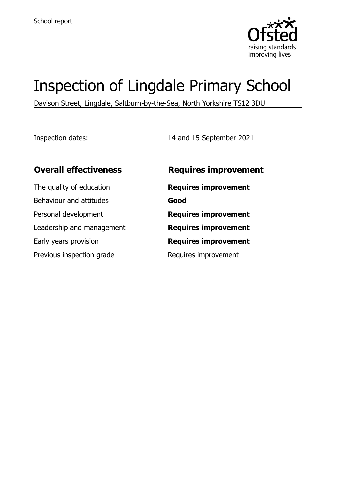

# Inspection of Lingdale Primary School

Davison Street, Lingdale, Saltburn-by-the-Sea, North Yorkshire TS12 3DU

Inspection dates: 14 and 15 September 2021

| <b>Overall effectiveness</b> | <b>Requires improvement</b> |
|------------------------------|-----------------------------|
| The quality of education     | <b>Requires improvement</b> |
| Behaviour and attitudes      | Good                        |
| Personal development         | <b>Requires improvement</b> |
| Leadership and management    | <b>Requires improvement</b> |
| Early years provision        | <b>Requires improvement</b> |
| Previous inspection grade    | Requires improvement        |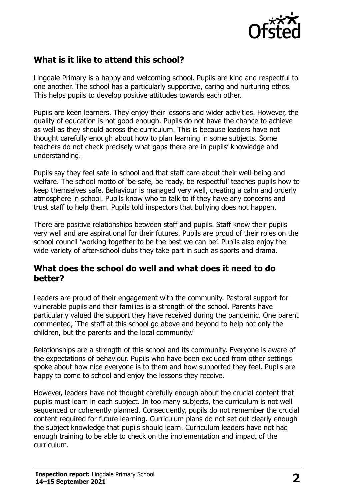

# **What is it like to attend this school?**

Lingdale Primary is a happy and welcoming school. Pupils are kind and respectful to one another. The school has a particularly supportive, caring and nurturing ethos. This helps pupils to develop positive attitudes towards each other.

Pupils are keen learners. They enjoy their lessons and wider activities. However, the quality of education is not good enough. Pupils do not have the chance to achieve as well as they should across the curriculum. This is because leaders have not thought carefully enough about how to plan learning in some subjects. Some teachers do not check precisely what gaps there are in pupils' knowledge and understanding.

Pupils say they feel safe in school and that staff care about their well-being and welfare. The school motto of 'be safe, be ready, be respectful' teaches pupils how to keep themselves safe. Behaviour is managed very well, creating a calm and orderly atmosphere in school. Pupils know who to talk to if they have any concerns and trust staff to help them. Pupils told inspectors that bullying does not happen.

There are positive relationships between staff and pupils. Staff know their pupils very well and are aspirational for their futures. Pupils are proud of their roles on the school council 'working together to be the best we can be'. Pupils also enjoy the wide variety of after-school clubs they take part in such as sports and drama.

#### **What does the school do well and what does it need to do better?**

Leaders are proud of their engagement with the community. Pastoral support for vulnerable pupils and their families is a strength of the school. Parents have particularly valued the support they have received during the pandemic. One parent commented, 'The staff at this school go above and beyond to help not only the children, but the parents and the local community.'

Relationships are a strength of this school and its community. Everyone is aware of the expectations of behaviour. Pupils who have been excluded from other settings spoke about how nice everyone is to them and how supported they feel. Pupils are happy to come to school and enjoy the lessons they receive.

However, leaders have not thought carefully enough about the crucial content that pupils must learn in each subject. In too many subjects, the curriculum is not well sequenced or coherently planned. Consequently, pupils do not remember the crucial content required for future learning. Curriculum plans do not set out clearly enough the subject knowledge that pupils should learn. Curriculum leaders have not had enough training to be able to check on the implementation and impact of the curriculum.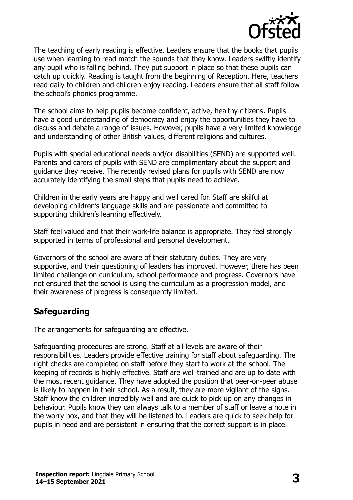

The teaching of early reading is effective. Leaders ensure that the books that pupils use when learning to read match the sounds that they know. Leaders swiftly identify any pupil who is falling behind. They put support in place so that these pupils can catch up quickly. Reading is taught from the beginning of Reception. Here, teachers read daily to children and children enjoy reading. Leaders ensure that all staff follow the school's phonics programme.

The school aims to help pupils become confident, active, healthy citizens. Pupils have a good understanding of democracy and enjoy the opportunities they have to discuss and debate a range of issues. However, pupils have a very limited knowledge and understanding of other British values, different religions and cultures.

Pupils with special educational needs and/or disabilities (SEND) are supported well. Parents and carers of pupils with SEND are complimentary about the support and guidance they receive. The recently revised plans for pupils with SEND are now accurately identifying the small steps that pupils need to achieve.

Children in the early years are happy and well cared for. Staff are skilful at developing children's language skills and are passionate and committed to supporting children's learning effectively.

Staff feel valued and that their work-life balance is appropriate. They feel strongly supported in terms of professional and personal development.

Governors of the school are aware of their statutory duties. They are very supportive, and their questioning of leaders has improved. However, there has been limited challenge on curriculum, school performance and progress. Governors have not ensured that the school is using the curriculum as a progression model, and their awareness of progress is consequently limited.

# **Safeguarding**

The arrangements for safeguarding are effective.

Safeguarding procedures are strong. Staff at all levels are aware of their responsibilities. Leaders provide effective training for staff about safeguarding. The right checks are completed on staff before they start to work at the school. The keeping of records is highly effective. Staff are well trained and are up to date with the most recent guidance. They have adopted the position that peer-on-peer abuse is likely to happen in their school. As a result, they are more vigilant of the signs. Staff know the children incredibly well and are quick to pick up on any changes in behaviour. Pupils know they can always talk to a member of staff or leave a note in the worry box, and that they will be listened to. Leaders are quick to seek help for pupils in need and are persistent in ensuring that the correct support is in place.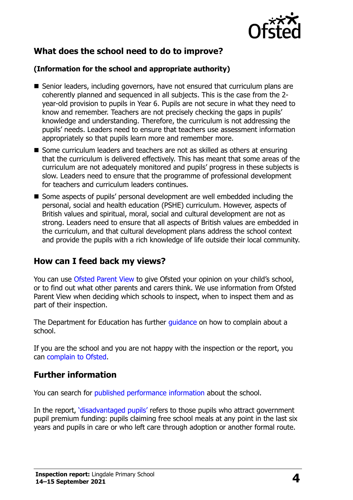

# **What does the school need to do to improve?**

#### **(Information for the school and appropriate authority)**

- Senior leaders, including governors, have not ensured that curriculum plans are coherently planned and sequenced in all subjects. This is the case from the 2 year-old provision to pupils in Year 6. Pupils are not secure in what they need to know and remember. Teachers are not precisely checking the gaps in pupils' knowledge and understanding. Therefore, the curriculum is not addressing the pupils' needs. Leaders need to ensure that teachers use assessment information appropriately so that pupils learn more and remember more.
- Some curriculum leaders and teachers are not as skilled as others at ensuring that the curriculum is delivered effectively. This has meant that some areas of the curriculum are not adequately monitored and pupils' progress in these subjects is slow. Leaders need to ensure that the programme of professional development for teachers and curriculum leaders continues.
- Some aspects of pupils' personal development are well embedded including the personal, social and health education (PSHE) curriculum. However, aspects of British values and spiritual, moral, social and cultural development are not as strong. Leaders need to ensure that all aspects of British values are embedded in the curriculum, and that cultural development plans address the school context and provide the pupils with a rich knowledge of life outside their local community.

## **How can I feed back my views?**

You can use [Ofsted Parent View](http://parentview.ofsted.gov.uk/) to give Ofsted your opinion on your child's school, or to find out what other parents and carers think. We use information from Ofsted Parent View when deciding which schools to inspect, when to inspect them and as part of their inspection.

The Department for Education has further quidance on how to complain about a school.

If you are the school and you are not happy with the inspection or the report, you can [complain to Ofsted.](http://www.gov.uk/complain-ofsted-report)

## **Further information**

You can search for [published performance information](http://www.compare-school-performance.service.gov.uk/) about the school.

In the report, '[disadvantaged pupils](http://www.gov.uk/guidance/pupil-premium-information-for-schools-and-alternative-provision-settings)' refers to those pupils who attract government pupil premium funding: pupils claiming free school meals at any point in the last six years and pupils in care or who left care through adoption or another formal route.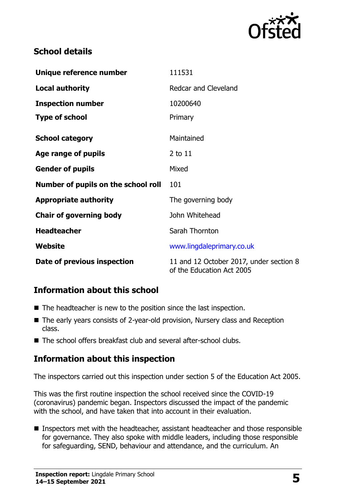

# **School details**

| Unique reference number             | 111531                                                               |
|-------------------------------------|----------------------------------------------------------------------|
| <b>Local authority</b>              | Redcar and Cleveland                                                 |
| <b>Inspection number</b>            | 10200640                                                             |
| <b>Type of school</b>               | Primary                                                              |
| <b>School category</b>              | Maintained                                                           |
| Age range of pupils                 | 2 to 11                                                              |
| <b>Gender of pupils</b>             | Mixed                                                                |
| Number of pupils on the school roll | 101                                                                  |
| <b>Appropriate authority</b>        | The governing body                                                   |
| <b>Chair of governing body</b>      | John Whitehead                                                       |
| <b>Headteacher</b>                  | Sarah Thornton                                                       |
| Website                             | www.lingdaleprimary.co.uk                                            |
| Date of previous inspection         | 11 and 12 October 2017, under section 8<br>of the Education Act 2005 |

# **Information about this school**

- The headteacher is new to the position since the last inspection.
- The early years consists of 2-year-old provision, Nursery class and Reception class.
- The school offers breakfast club and several after-school clubs.

# **Information about this inspection**

The inspectors carried out this inspection under section 5 of the Education Act 2005.

This was the first routine inspection the school received since the COVID-19 (coronavirus) pandemic began. Inspectors discussed the impact of the pandemic with the school, and have taken that into account in their evaluation.

■ Inspectors met with the headteacher, assistant headteacher and those responsible for governance. They also spoke with middle leaders, including those responsible for safeguarding, SEND, behaviour and attendance, and the curriculum. An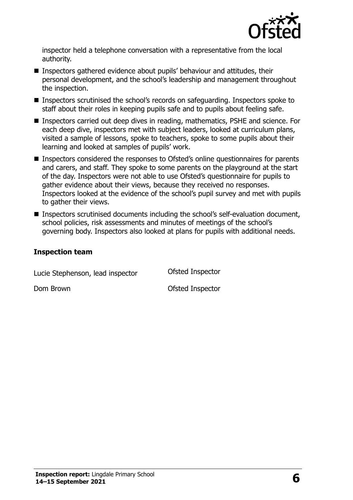

inspector held a telephone conversation with a representative from the local authority.

- Inspectors gathered evidence about pupils' behaviour and attitudes, their personal development, and the school's leadership and management throughout the inspection.
- Inspectors scrutinised the school's records on safeguarding. Inspectors spoke to staff about their roles in keeping pupils safe and to pupils about feeling safe.
- Inspectors carried out deep dives in reading, mathematics, PSHE and science. For each deep dive, inspectors met with subject leaders, looked at curriculum plans, visited a sample of lessons, spoke to teachers, spoke to some pupils about their learning and looked at samples of pupils' work.
- Inspectors considered the responses to Ofsted's online questionnaires for parents and carers, and staff. They spoke to some parents on the playground at the start of the day. Inspectors were not able to use Ofsted's questionnaire for pupils to gather evidence about their views, because they received no responses. Inspectors looked at the evidence of the school's pupil survey and met with pupils to gather their views.
- Inspectors scrutinised documents including the school's self-evaluation document, school policies, risk assessments and minutes of meetings of the school's governing body. Inspectors also looked at plans for pupils with additional needs.

#### **Inspection team**

Lucie Stephenson, lead inspector **Ofsted Inspector** 

Dom Brown **Dom Brown Ofsted Inspector**